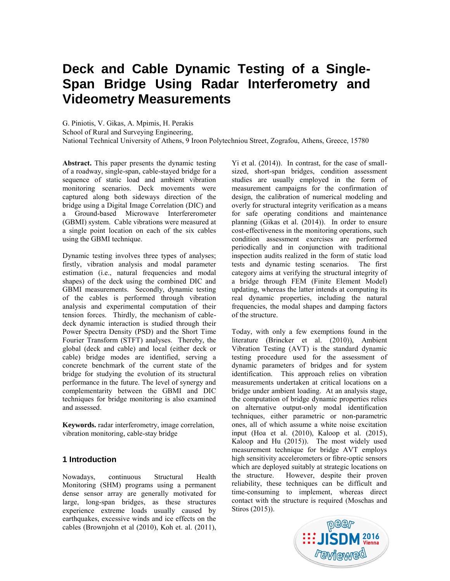# **Deck and Cable Dynamic Testing of a Single-Span Bridge Using Radar Interferometry and Videometry Measurements**

G. Piniotis, V. Gikas, A. Mpimis, H. Perakis

School of Rural and Surveying Engineering,

National Technical University of Athens, 9 Iroon Polytechniou Street, Zografou, Athens, Greece, 15780

**Abstract.** This paper presents the dynamic testing of a roadway, single-span, cable-stayed bridge for a sequence of static load and ambient vibration monitoring scenarios. Deck movements were captured along both sideways direction of the bridge using a Digital Image Correlation (DIC) and a Ground-based Microwave Interfererometer (GBMI) system. Cable vibrations were measured at a single point location on each of the six cables using the GBMI technique.

Dynamic testing involves three types of analyses; firstly, vibration analysis and modal parameter estimation (i.e., natural frequencies and modal shapes) of the deck using the combined DIC and GBMI measurements. Secondly, dynamic testing of the cables is performed through vibration analysis and experimental computation of their tension forces. Thirdly, the mechanism of cabledeck dynamic interaction is studied through their Power Spectra Density (PSD) and the Short Time Fourier Transform (STFT) analyses. Thereby, the global (deck and cable) and local (either deck or cable) bridge modes are identified, serving a concrete benchmark of the current state of the bridge for studying the evolution of its structural performance in the future. The level of synergy and complementarity between the GBMI and DIC techniques for bridge monitoring is also examined and assessed.

**Keywords.** radar interferometry, image correlation, vibration monitoring, cable-stay bridge

# **1 Introduction**

Nowadays, continuous Structural Health Monitoring (SHM) programs using a permanent dense sensor array are generally motivated for large, long-span bridges, as these structures experience extreme loads usually caused by earthquakes, excessive winds and ice effects on the cables (Brownjohn et al (2010), Koh et. al. (2011),

Yi et al. (2014)). In contrast, for the case of smallsized, short-span bridges, condition assessment studies are usually employed in the form of measurement campaigns for the confirmation of design, the calibration of numerical modeling and overly for structural integrity verification as a means for safe operating conditions and maintenance planning (Gikas et al. (2014)). In order to ensure cost-effectiveness in the monitoring operations, such condition assessment exercises are performed periodically and in conjunction with traditional inspection audits realized in the form of static load tests and dynamic testing scenarios. The first category aims at verifying the structural integrity of a bridge through FEM (Finite Element Model) updating, whereas the latter intends at computing its real dynamic properties, including the natural frequencies, the modal shapes and damping factors of the structure.

Today, with only a few exemptions found in the literature (Brincker et al. (2010)), Ambient Vibration Testing (AVT) is the standard dynamic testing procedure used for the assessment of dynamic parameters of bridges and for system identification. This approach relies on vibration measurements undertaken at critical locations on a bridge under ambient loading. At an analysis stage, the computation of bridge dynamic properties relies on alternative output-only modal identification techniques, either parametric or non-parametric ones, all of which assume a white noise excitation input (Hoa et al. (2010), Kaloop et al. (2015), Kaloop and Hu  $(2015)$ . The most widely used measurement technique for bridge AVT employs high sensitivity accelerometers or fibre-optic sensors which are deployed suitably at strategic locations on the structure. However, despite their proven reliability, these techniques can be difficult and time-consuming to implement, whereas direct contact with the structure is required (Moschas and Stiros (2015)).

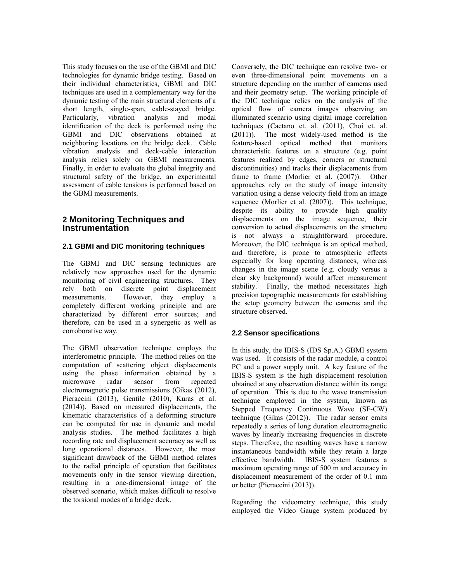This study focuses on the use of the GBMI and DIC technologies for dynamic bridge testing. Based on their individual characteristics, GBMI and DIC techniques are used in a complementary way for the dynamic testing of the main structural elements of a short length, single-span, cable-stayed bridge. Particularly, vibration analysis and modal identification of the deck is performed using the GBMI and DIC observations obtained at neighboring locations on the bridge deck. Cable vibration analysis and deck-cable interaction analysis relies solely on GBMI measurements. Finally, in order to evaluate the global integrity and structural safety of the bridge, an experimental assessment of cable tensions is performed based on the GBMI measurements.

# **2 Monitoring Techniques and Instrumentation**

## **2.1 GBMI and DIC monitoring techniques**

The GBMI and DIC sensing techniques are relatively new approaches used for the dynamic monitoring of civil engineering structures. They rely both on discrete point displacement measurements. However, they employ a completely different working principle and are characterized by different error sources; and therefore, can be used in a synergetic as well as corroborative way.

The GBMI observation technique employs the interferometric principle. The method relies on the computation of scattering object displacements using the phase information obtained by a microwave radar sensor from repeated electromagnetic pulse transmissions (Gikas (2012), Pieraccini (2013), Gentile (2010), Kuras et al. (2014)). Based on measured displacements, the kinematic characteristics of a deforming structure can be computed for use in dynamic and modal analysis studies. The method facilitates a high recording rate and displacement accuracy as well as long operational distances. However, the most significant drawback of the GBMI method relates to the radial principle of operation that facilitates movements only in the sensor viewing direction, resulting in a one-dimensional image of the observed scenario, which makes difficult to resolve the torsional modes of a bridge deck.

Conversely, the DIC technique can resolve two- or even three-dimensional point movements on a structure depending on the number of cameras used and their geometry setup. The working principle of the DIC technique relies on the analysis of the optical flow of camera images observing an illuminated scenario using digital image correlation techniques (Caetano et. al. (2011), Choi et. al. (2011)). The most widely-used method is the feature-based optical method that monitors characteristic features on a structure (e.g. point features realized by edges, corners or structural discontinuities) and tracks their displacements from frame to frame (Morlier et al. (2007)). Other approaches rely on the study of image intensity variation using a dense velocity field from an image sequence (Morlier et al. (2007)). This technique, despite its ability to provide high quality displacements on the image sequence, their conversion to actual displacements on the structure is not always a straightforward procedure. Moreover, the DIC technique is an optical method, and therefore, is prone to atmospheric effects especially for long operating distances, whereas changes in the image scene (e.g. cloudy versus a clear sky background) would affect measurement stability. Finally, the method necessitates high precision topographic measurements for establishing the setup geometry between the cameras and the structure observed.

# **2.2 Sensor specifications**

In this study, the IBIS-S (IDS Sp.A.) GBMI system was used. It consists of the radar module, a control PC and a power supply unit. A key feature of the IBIS-S system is the high displacement resolution obtained at any observation distance within its range of operation. This is due to the wave transmission technique employed in the system, known as Stepped Frequency Continuous Wave (SF-CW) technique (Gikas (2012)). The radar sensor emits repeatedly a series of long duration electromagnetic waves by linearly increasing frequencies in discrete steps. Therefore, the resulting waves have a narrow instantaneous bandwidth while they retain a large effective bandwidth. IBIS-S system features a maximum operating range of 500 m and accuracy in displacement measurement of the order of 0.1 mm or better (Pieraccini (2013)).

Regarding the videometry technique, this study employed the Video Gauge system produced by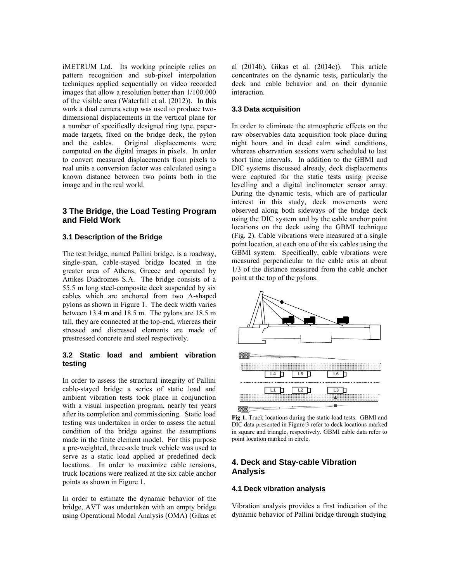iMETRUM Ltd. Its working principle relies on pattern recognition and sub-pixel interpolation techniques applied sequentially on video recorded images that allow a resolution better than 1/100.000 of the visible area (Waterfall et al. (2012)). In this work a dual camera setup was used to produce twodimensional displacements in the vertical plane for a number of specifically designed ring type, papermade targets, fixed on the bridge deck, the pylon and the cables. Original displacements were computed on the digital images in pixels. In order to convert measured displacements from pixels to real units a conversion factor was calculated using a known distance between two points both in the image and in the real world.

## **3 The Bridge, the Load Testing Program and Field Work**

## **3.1 Description of the Bridge**

The test bridge, named Pallini bridge, is a roadway, single-span, cable-stayed bridge located in the greater area of Athens, Greece and operated by Attikes Diadromes S.A. The bridge consists of a 55.5 m long steel-composite deck suspended by six cables which are anchored from two Λ-shaped pylons as shown in Figure 1. The deck width varies between 13.4 m and 18.5 m. The pylons are 18.5 m tall, they are connected at the top-end, whereas their stressed and distressed elements are made of prestressed concrete and steel respectively.

## **3.2 Static load and ambient vibration testing**

In order to assess the structural integrity of Pallini cable-stayed bridge a series of static load and ambient vibration tests took place in conjunction with a visual inspection program, nearly ten years after its completion and commissioning. Static load testing was undertaken in order to assess the actual condition of the bridge against the assumptions made in the finite element model. For this purpose a pre-weighted, three-axle truck vehicle was used to serve as a static load applied at predefined deck locations. In order to maximize cable tensions, truck locations were realized at the six cable anchor points as shown in Figure 1.

In order to estimate the dynamic behavior of the bridge, AVT was undertaken with an empty bridge using Operational Modal Analysis (OMA) (Gikas et

al (2014b), Gikas et al. (2014c)). This article concentrates on the dynamic tests, particularly the deck and cable behavior and on their dynamic interaction.

## **3.3 Data acquisition**

In order to eliminate the atmospheric effects on the raw observables data acquisition took place during night hours and in dead calm wind conditions, whereas observation sessions were scheduled to last short time intervals. In addition to the GBMI and DIC systems discussed already, deck displacements were captured for the static tests using precise levelling and a digital inclinometer sensor array. During the dynamic tests, which are of particular interest in this study, deck movements were observed along both sideways of the bridge deck using the DIC system and by the cable anchor point locations on the deck using the GBMI technique (Fig. 2). Cable vibrations were measured at a single point location, at each one of the six cables using the GBMI system. Specifically, cable vibrations were measured perpendicular to the cable axis at about 1/3 of the distance measured from the cable anchor point at the top of the pylons.



**Fig 1.** Truck locations during the static load tests. GBMI and DIC data presented in Figure 3 refer to deck locations marked in square and triangle, respectively. GBMI cable data refer to point location marked in circle.

## **4. Deck and Stay-cable Vibration Analysis**

### **4.1 Deck vibration analysis**

Vibration analysis provides a first indication of the dynamic behavior of Pallini bridge through studying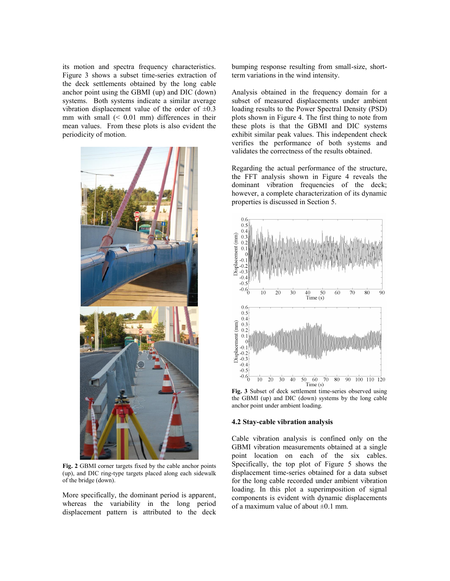its motion and spectra frequency characteristics. Figure 3 shows a subset time-series extraction of the deck settlements obtained by the long cable anchor point using the GBMI (up) and DIC (down) systems. Both systems indicate a similar average vibration displacement value of the order of  $\pm 0.3$ mm with small  $($   $< 0.01$  mm) differences in their mean values. From these plots is also evident the periodicity of motion.



**Fig. 2** GBMI corner targets fixed by the cable anchor points (up), and DIC ring-type targets placed along each sidewalk of the bridge (down).

More specifically, the dominant period is apparent, whereas the variability in the long period displacement pattern is attributed to the deck bumping response resulting from small-size, shortterm variations in the wind intensity.

Analysis obtained in the frequency domain for a subset of measured displacements under ambient loading results to the Power Spectral Density (PSD) plots shown in Figure 4. The first thing to note from these plots is that the GBMI and DIC systems exhibit similar peak values. This independent check verifies the performance of both systems and validates the correctness of the results obtained.

Regarding the actual performance of the structure, the FFT analysis shown in Figure 4 reveals the dominant vibration frequencies of the deck; however, a complete characterization of its dynamic properties is discussed in Section 5.



the GBMI (up) and DIC (down) systems by the long cable anchor point under ambient loading.

#### **4.2 Stay-cable vibration analysis**

Cable vibration analysis is confined only on the GBMI vibration measurements obtained at a single point location on each of the six cables. Specifically, the top plot of Figure 5 shows the displacement time-series obtained for a data subset for the long cable recorded under ambient vibration loading. In this plot a superimposition of signal components is evident with dynamic displacements of a maximum value of about  $\pm 0.1$  mm.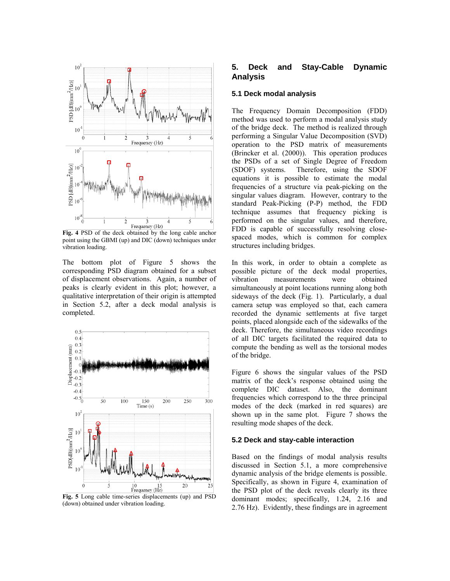

**Fig. 4** PSD of the deck obtained by the long cable anchor point using the GBMI (up) and DIC (down) techniques under vibration loading.

The bottom plot of Figure 5 shows the corresponding PSD diagram obtained for a subset of displacement observations. Again, a number of peaks is clearly evident in this plot; however, a qualitative interpretation of their origin is attempted in Section 5.2, after a deck modal analysis is completed.



**Fig. 5** Long cable time-series displacements (up) and PSD (down) obtained under vibration loading.

## **5. Deck and Stay-Cable Dynamic Analysis**

#### **5.1 Deck modal analysis**

The Frequency Domain Decomposition (FDD) method was used to perform a modal analysis study of the bridge deck. The method is realized through performing a Singular Value Decomposition (SVD) operation to the PSD matrix of measurements (Brincker et al. (2000)). This operation produces the PSDs of a set of Single Degree of Freedom (SDOF) systems. Therefore, using the SDOF equations it is possible to estimate the modal frequencies of a structure via peak-picking on the singular values diagram. However, contrary to the standard Peak-Picking (P-P) method, the FDD technique assumes that frequency picking is performed on the singular values, and therefore, FDD is capable of successfully resolving closespaced modes, which is common for complex structures including bridges.

In this work, in order to obtain a complete as possible picture of the deck modal properties, vibration measurements were obtained simultaneously at point locations running along both sideways of the deck (Fig. 1). Particularly, a dual camera setup was employed so that, each camera recorded the dynamic settlements at five target points, placed alongside each of the sidewalks of the deck. Therefore, the simultaneous video recordings of all DIC targets facilitated the required data to compute the bending as well as the torsional modes of the bridge.

Figure 6 shows the singular values of the PSD matrix of the deck's response obtained using the complete DIC dataset. Also, the dominant frequencies which correspond to the three principal modes of the deck (marked in red squares) are shown up in the same plot. Figure 7 shows the resulting mode shapes of the deck.

#### **5.2 Deck and stay-cable interaction**

Based on the findings of modal analysis results discussed in Section 5.1, a more comprehensive dynamic analysis of the bridge elements is possible. Specifically, as shown in Figure 4, examination of the PSD plot of the deck reveals clearly its three dominant modes; specifically, 1.24, 2.16 and 2.76 Hz). Evidently, these findings are in agreement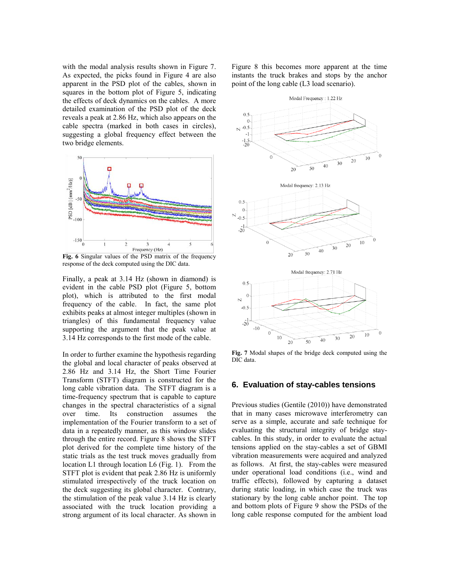with the modal analysis results shown in Figure 7. As expected, the picks found in Figure 4 are also apparent in the PSD plot of the cables, shown in squares in the bottom plot of Figure 5, indicating the effects of deck dynamics on the cables. A more detailed examination of the PSD plot of the deck reveals a peak at 2.86 Hz, which also appears on the cable spectra (marked in both cases in circles), suggesting a global frequency effect between the two bridge elements.



**Fig. 6** Singular values of the PSD matrix of the frequency response of the deck computed using the DIC data.

Finally, a peak at 3.14 Hz (shown in diamond) is evident in the cable PSD plot (Figure 5, bottom plot), which is attributed to the first modal frequency of the cable. In fact, the same plot exhibits peaks at almost integer multiples (shown in triangles) of this fundamental frequency value supporting the argument that the peak value at 3.14 Hz corresponds to the first mode of the cable.

In order to further examine the hypothesis regarding the global and local character of peaks observed at 2.86 Hz and 3.14 Hz, the Short Time Fourier Transform (STFT) diagram is constructed for the long cable vibration data. The STFT diagram is a time-frequency spectrum that is capable to capture changes in the spectral characteristics of a signal over time. Its construction assumes the implementation of the Fourier transform to a set of data in a repeatedly manner, as this window slides through the entire record. Figure 8 shows the STFT plot derived for the complete time history of the static trials as the test truck moves gradually from location L1 through location L6 (Fig. 1). From the STFT plot is evident that peak 2.86 Hz is uniformly stimulated irrespectively of the truck location on the deck suggesting its global character. Contrary, the stimulation of the peak value 3.14 Hz is clearly associated with the truck location providing a strong argument of its local character. As shown in

Figure 8 this becomes more apparent at the time instants the truck brakes and stops by the anchor point of the long cable (L3 load scenario).



**Fig. 7** Modal shapes of the bridge deck computed using the DIC data.

#### **6. Evaluation of stay-cables tensions**

Previous studies (Gentile (2010)) have demonstrated that in many cases microwave interferometry can serve as a simple, accurate and safe technique for evaluating the structural integrity of bridge staycables. In this study, in order to evaluate the actual tensions applied on the stay-cables a set of GBMI vibration measurements were acquired and analyzed as follows. At first, the stay-cables were measured under operational load conditions (i.e., wind and traffic effects), followed by capturing a dataset during static loading, in which case the truck was stationary by the long cable anchor point. The top and bottom plots of Figure 9 show the PSDs of the long cable response computed for the ambient load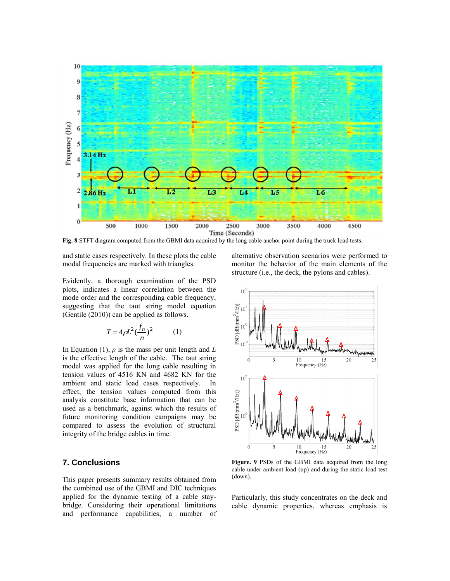

**Fig. 8** STFT diagram computed from the GBMI data acquired by the long cable anchor point during the truck load tests.

and static cases respectively. In these plots the cable modal frequencies are marked with triangles.

Evidently, a thorough examination of the PSD plots, indicates a linear correlation between the mode order and the corresponding cable frequency, suggesting that the taut string model equation (Gentile (2010)) can be applied as follows.

$$
T = 4\rho L^2 \left(\frac{f_n}{n}\right)^2 \tag{1}
$$

In Equation (1),  $\rho$  is the mass per unit length and *L* is the effective length of the cable. The taut string model was applied for the long cable resulting in tension values of 4516 KN and 4682 KN for the ambient and static load cases respectively. In effect, the tension values computed from this analysis constitute base information that can be used as a benchmark, against which the results of future monitoring condition campaigns may be compared to assess the evolution of structural integrity of the bridge cables in time.

## **7. Conclusions**

This paper presents summary results obtained from the combined use of the GBMI and DIC techniques applied for the dynamic testing of a cable staybridge. Considering their operational limitations and performance capabilities, a number of alternative observation scenarios were performed to monitor the behavior of the main elements of the structure (i.e., the deck, the pylons and cables).



**Figure. 9** PSDs of the GBMI data acquired from the long cable under ambient load (up) and during the static load test (down).

Particularly, this study concentrates on the deck and cable dynamic properties, whereas emphasis is